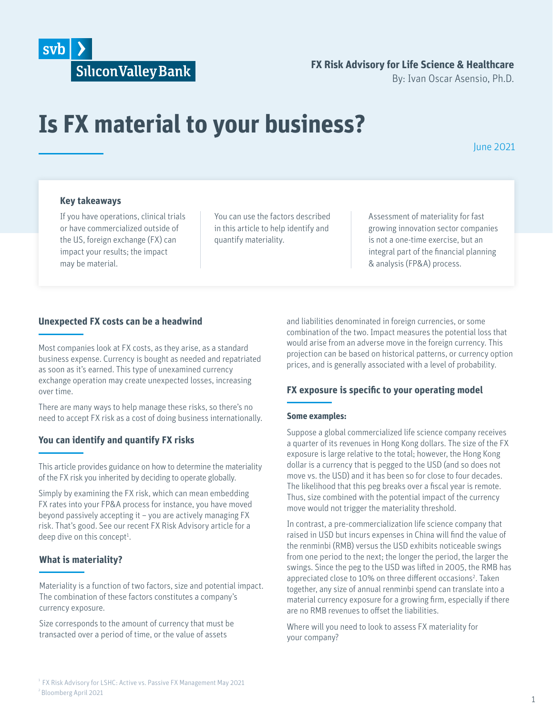

# **FX Risk Advisory for Life Science & Healthcare**

By: Ivan Oscar Asensio, Ph.D.

# **Is FX material to your business?**

# June 2021

#### **Key takeaways**

If you have operations, clinical trials or have commercialized outside of the US, foreign exchange (FX) can impact your results; the impact may be material.

You can use the factors described in this article to help identify and quantify materiality.

Assessment of materiality for fast growing innovation sector companies is not a one-time exercise, but an integral part of the financial planning & analysis (FP&A) process.

#### **Unexpected FX costs can be a headwind**

Most companies look at FX costs, as they arise, as a standard business expense. Currency is bought as needed and repatriated as soon as it's earned. This type of unexamined currency exchange operation may create unexpected losses, increasing over time.

There are many ways to help manage these risks, so there's no need to accept FX risk as a cost of doing business internationally.

#### **You can identify and quantify FX risks**

This article provides guidance on how to determine the materiality of the FX risk you inherited by deciding to operate globally.

Simply by examining the FX risk, which can mean embedding FX rates into your FP&A process for instance, you have moved beyond passively accepting it – you are actively managing FX risk. That's good. See our recent FX Risk Advisory article for a deep dive on this concept<sup>1</sup>.

#### **What is materiality?**

Materiality is a function of two factors, size and potential impact. The combination of these factors constitutes a company's currency exposure.

Size corresponds to the amount of currency that must be transacted over a period of time, or the value of assets

and liabilities denominated in foreign currencies, or some combination of the two. Impact measures the potential loss that would arise from an adverse move in the foreign currency. This projection can be based on historical patterns, or currency option prices, and is generally associated with a level of probability.

## **FX exposure is specific to your operating model**

#### **Some examples:**

Suppose a global commercialized life science company receives a quarter of its revenues in Hong Kong dollars. The size of the FX exposure is large relative to the total; however, the Hong Kong dollar is a currency that is pegged to the USD (and so does not move vs. the USD) and it has been so for close to four decades. The likelihood that this peg breaks over a fiscal year is remote. Thus, size combined with the potential impact of the currency move would not trigger the materiality threshold.

In contrast, a pre-commercialization life science company that raised in USD but incurs expenses in China will find the value of the renminbi (RMB) versus the USD exhibits noticeable swings from one period to the next; the longer the period, the larger the swings. Since the peg to the USD was lifted in 2005, the RMB has appreciated close to 10% on three different occasions<sup>2</sup>. Taken together, any size of annual renminbi spend can translate into a material currency exposure for a growing firm, especially if there are no RMB revenues to offset the liabilities.

Where will you need to look to assess FX materiality for your company?

<sup>&</sup>lt;sup>1</sup> FX Risk Advisory for LSHC: Active vs. Passive FX Management May 2021 2 Bloomberg April 2021